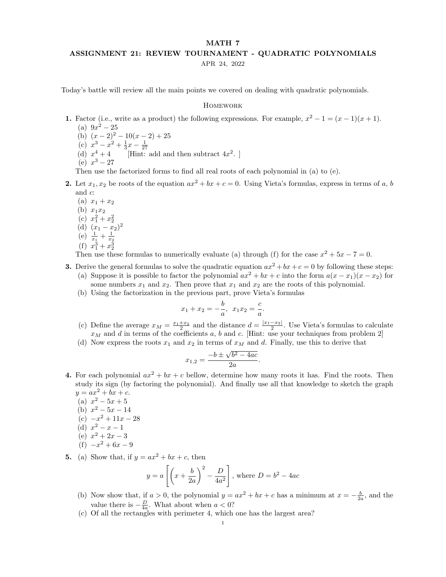## MATH 7 ASSIGNMENT 21: REVIEW TOURNAMENT - QUADRATIC POLYNOMIALS APR 24, 2022

Today's battle will review all the main points we covered on dealing with quadratic polynomials.

## **HOMEWORK**

- 1. Factor (i.e., write as a product) the following expressions. For example,  $x^2 1 = (x 1)(x + 1)$ .
	- (a)  $9x^2 25$ (b)  $(x-2)^2-10(x-2)+25$
	- (c)  $x^3 x^2 + \frac{1}{3}x \frac{1}{27}$
	- (d)  $x^4 + 4$  $4+4$  [Hint: add and then subtract  $4x^2$ .]
	- (e)  $x^3 27$

Then use the factorized forms to find all real roots of each polynomial in (a) to (e).

- 2. Let  $x_1, x_2$  be roots of the equation  $ax^2 + bx + c = 0$ . Using Vieta's formulas, express in terms of a, b and c:
	- (a)  $x_1 + x_2$
	- (b)  $x_1x_2$
	- (c)  $x_1^2 + x_2^2$
	- (d)  $(x_1-x_2)^2$
	- (e)  $\frac{1}{x_1} + \frac{1}{x_2}$ <br>(f)  $x_1^3 + x_2^3$
	-

Then use these formulas to numerically evaluate (a) through (f) for the case  $x^2 + 5x - 7 = 0$ .

- **3.** Derive the general formulas to solve the quadratic equation  $ax^2 + bx + c = 0$  by following these steps: (a) Suppose it is possible to factor the polynomial  $ax^2 + bx + c$  into the form  $a(x - x_1)(x - x_2)$  for
	- some numbers  $x_1$  and  $x_2$ . Then prove that  $x_1$  and  $x_2$  are the roots of this polynomial.
	- (b) Using the factorization in the previous part, prove Vieta's formulas

$$
x_1 + x_2 = -\frac{b}{a}, \ x_1 x_2 = \frac{c}{a}.
$$

(c) Define the average  $x_M = \frac{x_1+x_2}{2}$  and the distance  $d = \frac{|x_1-x_2|}{2}$ . Use Vieta's formulas to calculate  $x_M$  and d in terms of the coefficients a, b and c. [Hint: use your techniques from problem 2]

.

(d) Now express the roots  $x_1$  and  $x_2$  in terms of  $x_M$  and d. Finally, use this to derive that

$$
x_{1,2} = \frac{-b \pm \sqrt{b^2 - 4ac}}{2a}
$$

- 4. For each polynomial  $ax^2 + bx + c$  bellow, determine how many roots it has. Find the roots. Then study its sign (by factoring the polynomial). And finally use all that knowledge to sketch the graph  $y = ax^2 + bx + c.$ 
	- (a)  $x^2 5x + 5$
	- (b)  $x^2 5x 14$
	- (c)  $-x^2 + 11x 28$
	- (d)  $x^2 x 1$
	- (e)  $x^2 + 2x 3$
	- $(f)$   $x^2 + 6x 9$
- 5. (a) Show that, if  $y = ax^2 + bx + c$ , then

$$
y = a \left[ \left( x + \frac{b}{2a} \right)^2 - \frac{D}{4a^2} \right], \text{ where } D = b^2 - 4ac
$$

- (b) Now show that, if  $a > 0$ , the polynomial  $y = ax^2 + bx + c$  has a minimum at  $x = -\frac{b}{2a}$ , and the value there is  $-\frac{D}{4a}$ . What about when  $a < 0$ ?
- (c) Of all the rectangles with perimeter 4, which one has the largest area?